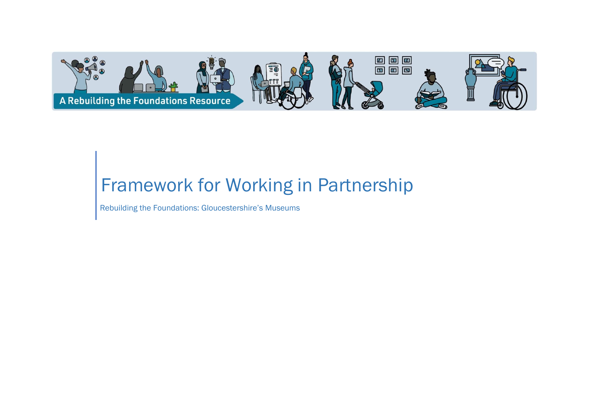

# Framework for Working in Partnership

Rebuilding the Foundations: Gloucestershire's Museums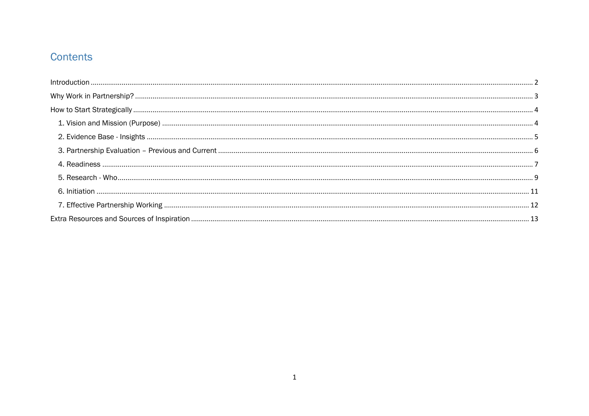# Contents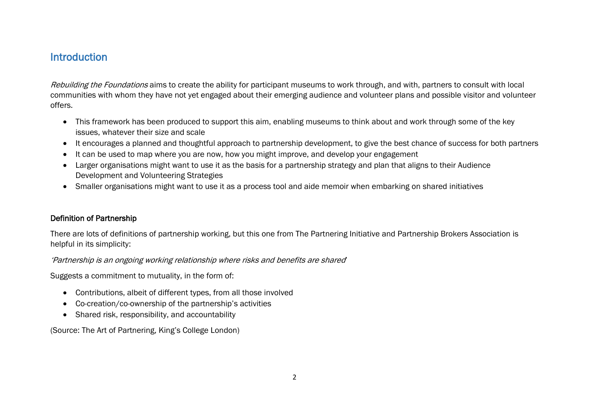## <span id="page-2-0"></span>Introduction

Rebuilding the Foundations aims to create the ability for participant museums to work through, and with, partners to consult with local communities with whom they have not yet engaged about their emerging audience and volunteer plans and possible visitor and volunteer offers.

- This framework has been produced to support this aim, enabling museums to think about and work through some of the key issues, whatever their size and scale
- It encourages a planned and thoughtful approach to partnership development, to give the best chance of success for both partners
- It can be used to map where you are now, how you might improve, and develop your engagement
- Larger organisations might want to use it as the basis for a partnership strategy and plan that aligns to their Audience Development and Volunteering Strategies
- Smaller organisations might want to use it as a process tool and aide memoir when embarking on shared initiatives

#### Definition of Partnership

There are lots of definitions of partnership working, but this one from The Partnering Initiative and Partnership Brokers Association is helpful in its simplicity:

'Partnership is an ongoing working relationship where risks and benefits are shared'

Suggests a commitment to mutuality, in the form of:

- Contributions, albeit of different types, from all those involved
- Co-creation/co-ownership of the partnership's activities
- Shared risk, responsibility, and accountability

(Source: The Art of Partnering, King's College London)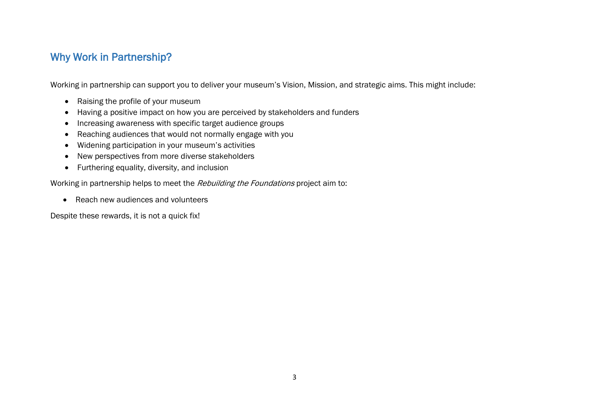# <span id="page-3-0"></span>Why Work in Partnership?

Working in partnership can support you to deliver your museum's Vision, Mission, and strategic aims. This might include:

- Raising the profile of your museum
- Having a positive impact on how you are perceived by stakeholders and funders
- Increasing awareness with specific target audience groups
- Reaching audiences that would not normally engage with you
- Widening participation in your museum's activities
- New perspectives from more diverse stakeholders
- Furthering equality, diversity, and inclusion

Working in partnership helps to meet the Rebuilding the Foundations project aim to:

• Reach new audiences and volunteers

Despite these rewards, it is not a quick fix!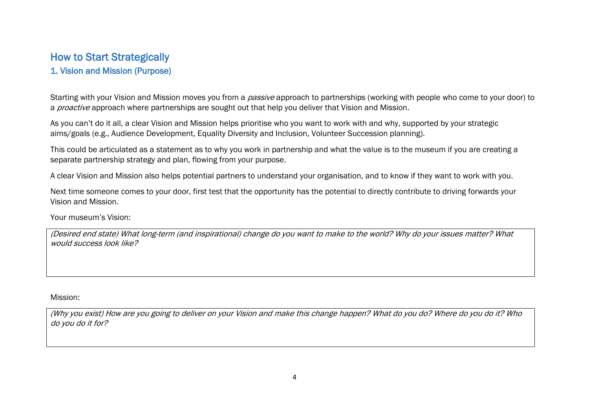## <span id="page-4-1"></span><span id="page-4-0"></span>How to Start Strategically 1. Vision and Mission (Purpose)

Starting with your Vision and Mission moves you from a *passive* approach to partnerships (working with people who come to your door) to a *proactive* approach where partnerships are sought out that help you deliver that Vision and Mission.

As you can't do it all, a clear Vision and Mission helps prioritise who you want to work with and why, supported by your strategic aims/goals (e.g., Audience Development, Equality Diversity and Inclusion, Volunteer Succession planning).

This could be articulated as a statement as to why you work in partnership and what the value is to the museum if you are creating a separate partnership strategy and plan, flowing from your purpose.

A clear Vision and Mission also helps potential partners to understand your organisation, and to know if they want to work with you.

Next time someone comes to your door, first test that the opportunity has the potential to directly contribute to driving forwards your Vision and Mission.

Your museum's Vision:

(Desired end state) What long-term (and inspirational) change do you want to make to the world? Why do your issues matter? What would success look like?

Mission:

(Why you exist) How are you going to deliver on your Vision and make this change happen? What do you do? Where do you do it? Who do you do it for?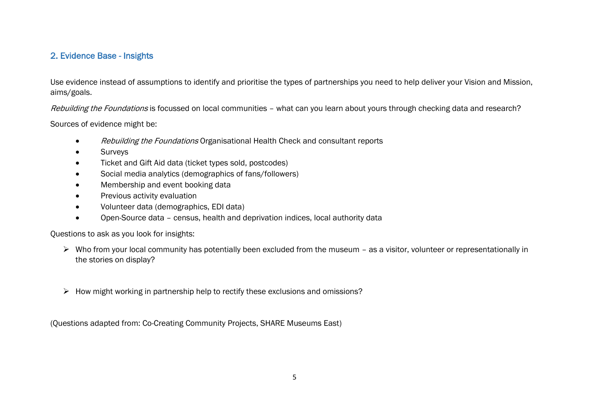#### <span id="page-5-0"></span>2. Evidence Base - Insights

Use evidence instead of assumptions to identify and prioritise the types of partnerships you need to help deliver your Vision and Mission, aims/goals.

Rebuilding the Foundations is focussed on local communities - what can you learn about yours through checking data and research?

Sources of evidence might be:

- Rebuilding the Foundations Organisational Health Check and consultant reports
- **Surveys**
- Ticket and Gift Aid data (ticket types sold, postcodes)
- Social media analytics (demographics of fans/followers)
- Membership and event booking data
- Previous activity evaluation
- Volunteer data (demographics, EDI data)
- Open-Source data census, health and deprivation indices, local authority data

Questions to ask as you look for insights:

- ➢ Who from your local community has potentially been excluded from the museum as a visitor, volunteer or representationally in the stories on display?
- ➢ How might working in partnership help to rectify these exclusions and omissions?

(Questions adapted from: Co-Creating Community Projects, SHARE Museums East)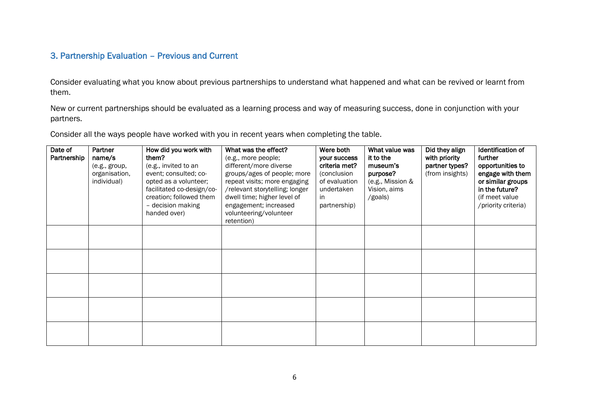#### <span id="page-6-0"></span>3. Partnership Evaluation – Previous and Current

Consider evaluating what you know about previous partnerships to understand what happened and what can be revived or learnt from them.

New or current partnerships should be evaluated as a learning process and way of measuring success, done in conjunction with your partners.

Consider all the ways people have worked with you in recent years when completing the table.

| Date of<br>Partnership | Partner<br>name/s<br>(e.g., group,<br>organisation,<br>individual) | How did you work with<br>them?<br>(e.g., invited to an<br>event; consulted; co-<br>opted as a volunteer;<br>facilitated co-design/co-<br>creation; followed them<br>- decision making<br>handed over) | What was the effect?<br>(e.g., more people;<br>different/more diverse<br>groups/ages of people; more<br>repeat visits; more engaging<br>/relevant storytelling; longer<br>dwell time; higher level of<br>engagement; increased<br>volunteering/volunteer<br>retention) | Were both<br>your success<br>criteria met?<br>(conclusion<br>of evaluation<br>undertaken<br>in<br>partnership) | What value was<br>it to the<br>museum's<br>purpose?<br>(e.g., Mission &<br>Vision, aims<br>/goals) | Did they align<br>with priority<br>partner types?<br>(from insights) | Identification of<br>further<br>opportunities to<br>engage with them<br>or similar groups<br>in the future?<br>(if meet value)<br>/priority criteria) |
|------------------------|--------------------------------------------------------------------|-------------------------------------------------------------------------------------------------------------------------------------------------------------------------------------------------------|------------------------------------------------------------------------------------------------------------------------------------------------------------------------------------------------------------------------------------------------------------------------|----------------------------------------------------------------------------------------------------------------|----------------------------------------------------------------------------------------------------|----------------------------------------------------------------------|-------------------------------------------------------------------------------------------------------------------------------------------------------|
|                        |                                                                    |                                                                                                                                                                                                       |                                                                                                                                                                                                                                                                        |                                                                                                                |                                                                                                    |                                                                      |                                                                                                                                                       |
|                        |                                                                    |                                                                                                                                                                                                       |                                                                                                                                                                                                                                                                        |                                                                                                                |                                                                                                    |                                                                      |                                                                                                                                                       |
|                        |                                                                    |                                                                                                                                                                                                       |                                                                                                                                                                                                                                                                        |                                                                                                                |                                                                                                    |                                                                      |                                                                                                                                                       |
|                        |                                                                    |                                                                                                                                                                                                       |                                                                                                                                                                                                                                                                        |                                                                                                                |                                                                                                    |                                                                      |                                                                                                                                                       |
|                        |                                                                    |                                                                                                                                                                                                       |                                                                                                                                                                                                                                                                        |                                                                                                                |                                                                                                    |                                                                      |                                                                                                                                                       |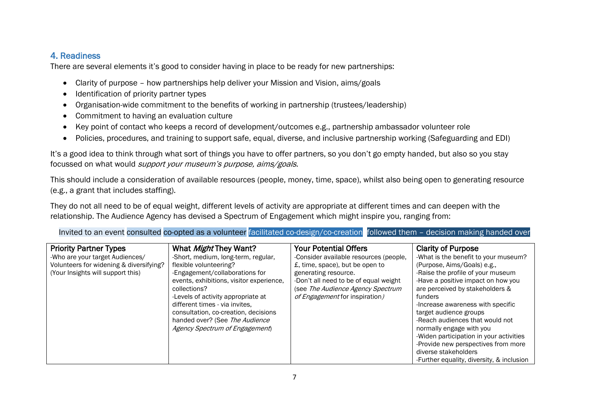#### <span id="page-7-0"></span>4. Readiness

There are several elements it's good to consider having in place to be ready for new partnerships:

- Clarity of purpose how partnerships help deliver your Mission and Vision, aims/goals
- Identification of priority partner types
- Organisation-wide commitment to the benefits of working in partnership (trustees/leadership)
- Commitment to having an evaluation culture
- Key point of contact who keeps a record of development/outcomes e.g., partnership ambassador volunteer role
- Policies, procedures, and training to support safe, equal, diverse, and inclusive partnership working (Safeguarding and EDI)

It's a good idea to think through what sort of things you have to offer partners, so you don't go empty handed, but also so you stay focussed on what would *support your museum's purpose, aims/goals.* 

This should include a consideration of available resources (people, money, time, space), whilst also being open to generating resource (e.g., a grant that includes staffing).

They do not all need to be of equal weight, different levels of activity are appropriate at different times and can deepen with the relationship. The Audience Agency has devised a Spectrum of Engagement which might inspire you, ranging from:

Invited to an event consulted co-opted as a volunteer facilitated co-design/co-creation followed them – decision making handed over

| <b>Priority Partner Types</b><br>-Who are your target Audiences/<br>Volunteers for widening & diversifying?<br>(Your Insights will support this) | What <i>Might</i> They Want?<br>-Short, medium, long-term, regular,<br>flexible volunteering?<br>-Engagement/collaborations for<br>events, exhibitions, visitor experience,<br>collections?<br>-Levels of activity appropriate at<br>different times - via invites.<br>consultation, co-creation, decisions<br>handed over? (See The Audience<br>Agency Spectrum of Engagement) | <b>Your Potential Offers</b><br>-Consider available resources (people,<br>£, time, space), but be open to<br>generating resource.<br>-Don't all need to be of equal weight<br>(see The Audience Agency Spectrum<br>of Engagement for inspiration) | <b>Clarity of Purpose</b><br>-What is the benefit to your museum?<br>(Purpose, Aims/Goals) e.g.,<br>-Raise the profile of your museum<br>-Have a positive impact on how you<br>are perceived by stakeholders &<br>funders<br>-Increase awareness with specific<br>target audience groups<br>-Reach audiences that would not<br>normally engage with you<br>-Widen participation in your activities<br>-Provide new perspectives from more<br>diverse stakeholders<br>-Further equality, diversity, & inclusion |
|--------------------------------------------------------------------------------------------------------------------------------------------------|---------------------------------------------------------------------------------------------------------------------------------------------------------------------------------------------------------------------------------------------------------------------------------------------------------------------------------------------------------------------------------|---------------------------------------------------------------------------------------------------------------------------------------------------------------------------------------------------------------------------------------------------|----------------------------------------------------------------------------------------------------------------------------------------------------------------------------------------------------------------------------------------------------------------------------------------------------------------------------------------------------------------------------------------------------------------------------------------------------------------------------------------------------------------|
|--------------------------------------------------------------------------------------------------------------------------------------------------|---------------------------------------------------------------------------------------------------------------------------------------------------------------------------------------------------------------------------------------------------------------------------------------------------------------------------------------------------------------------------------|---------------------------------------------------------------------------------------------------------------------------------------------------------------------------------------------------------------------------------------------------|----------------------------------------------------------------------------------------------------------------------------------------------------------------------------------------------------------------------------------------------------------------------------------------------------------------------------------------------------------------------------------------------------------------------------------------------------------------------------------------------------------------|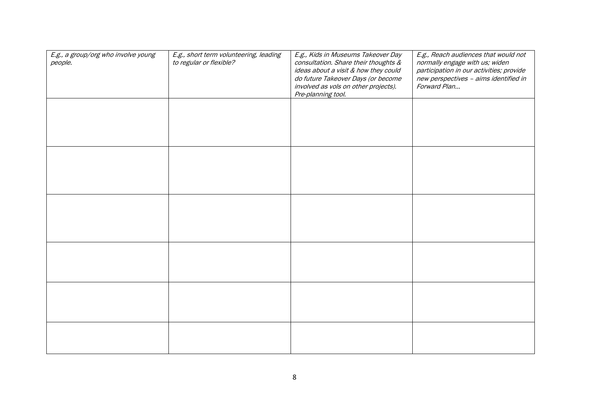| E.g., a group/org who involve young<br>people. | E.g., short term volunteering, leading<br>to regular or flexible? | E.g., Kids in Museums Takeover Day<br>consultation. Share their thoughts &<br>ideas about a visit & how they could<br>do future Takeover Days (or become<br>involved as vols on other projects).<br>Pre-planning tool. | E.g., Reach audiences that would not<br>normally engage with us; widen<br>participation in our activities; provide<br>new perspectives - aims identified in<br>Forward Plan |
|------------------------------------------------|-------------------------------------------------------------------|------------------------------------------------------------------------------------------------------------------------------------------------------------------------------------------------------------------------|-----------------------------------------------------------------------------------------------------------------------------------------------------------------------------|
|                                                |                                                                   |                                                                                                                                                                                                                        |                                                                                                                                                                             |
|                                                |                                                                   |                                                                                                                                                                                                                        |                                                                                                                                                                             |
|                                                |                                                                   |                                                                                                                                                                                                                        |                                                                                                                                                                             |
|                                                |                                                                   |                                                                                                                                                                                                                        |                                                                                                                                                                             |
|                                                |                                                                   |                                                                                                                                                                                                                        |                                                                                                                                                                             |
|                                                |                                                                   |                                                                                                                                                                                                                        |                                                                                                                                                                             |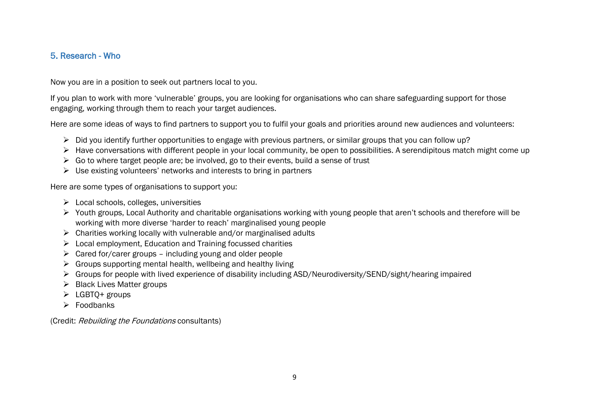#### <span id="page-9-0"></span>5. Research - Who

Now you are in a position to seek out partners local to you.

If you plan to work with more 'vulnerable' groups, you are looking for organisations who can share safeguarding support for those engaging, working through them to reach your target audiences.

Here are some ideas of ways to find partners to support you to fulfil your goals and priorities around new audiences and volunteers:

- ➢ Did you identify further opportunities to engage with previous partners, or similar groups that you can follow up?
- ➢ Have conversations with different people in your local community, be open to possibilities. A serendipitous match might come up
- $\triangleright$  Go to where target people are; be involved, go to their events, build a sense of trust
- ➢ Use existing volunteers' networks and interests to bring in partners

Here are some types of organisations to support you:

- $\triangleright$  Local schools, colleges, universities
- ➢ Youth groups, Local Authority and charitable organisations working with young people that aren't schools and therefore will be working with more diverse 'harder to reach' marginalised young people
- $\triangleright$  Charities working locally with vulnerable and/or marginalised adults
- ➢ Local employment, Education and Training focussed charities
- $\triangleright$  Cared for/carer groups including young and older people
- $\triangleright$  Groups supporting mental health, wellbeing and healthy living
- ➢ Groups for people with lived experience of disability including ASD/Neurodiversity/SEND/sight/hearing impaired
- ➢ Black Lives Matter groups
- ➢ LGBTQ+ groups
- ➢ Foodbanks

(Credit: Rebuilding the Foundations consultants)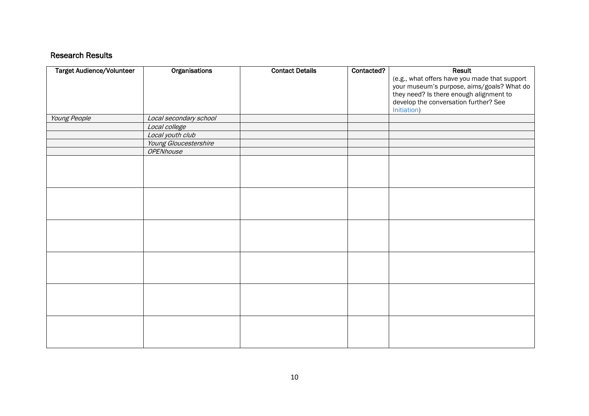#### Research Results

| <b>Target Audience/Volunteer</b> | Organisations          | <b>Contact Details</b> | Contacted? | <b>Result</b>                                 |
|----------------------------------|------------------------|------------------------|------------|-----------------------------------------------|
|                                  |                        |                        |            | (e.g., what offers have you made that support |
|                                  |                        |                        |            | your museum's purpose, aims/goals? What do    |
|                                  |                        |                        |            | they need? Is there enough alignment to       |
|                                  |                        |                        |            | develop the conversation further? See         |
|                                  |                        |                        |            | Initiation)                                   |
| Young People                     | Local secondary school |                        |            |                                               |
|                                  | Local college          |                        |            |                                               |
|                                  | Local youth club       |                        |            |                                               |
|                                  | Young Gloucestershire  |                        |            |                                               |
|                                  | <b>OPENhouse</b>       |                        |            |                                               |
|                                  |                        |                        |            |                                               |
|                                  |                        |                        |            |                                               |
|                                  |                        |                        |            |                                               |
|                                  |                        |                        |            |                                               |
|                                  |                        |                        |            |                                               |
|                                  |                        |                        |            |                                               |
|                                  |                        |                        |            |                                               |
|                                  |                        |                        |            |                                               |
|                                  |                        |                        |            |                                               |
|                                  |                        |                        |            |                                               |
|                                  |                        |                        |            |                                               |
|                                  |                        |                        |            |                                               |
|                                  |                        |                        |            |                                               |
|                                  |                        |                        |            |                                               |
|                                  |                        |                        |            |                                               |
|                                  |                        |                        |            |                                               |
|                                  |                        |                        |            |                                               |
|                                  |                        |                        |            |                                               |
|                                  |                        |                        |            |                                               |
|                                  |                        |                        |            |                                               |
|                                  |                        |                        |            |                                               |
|                                  |                        |                        |            |                                               |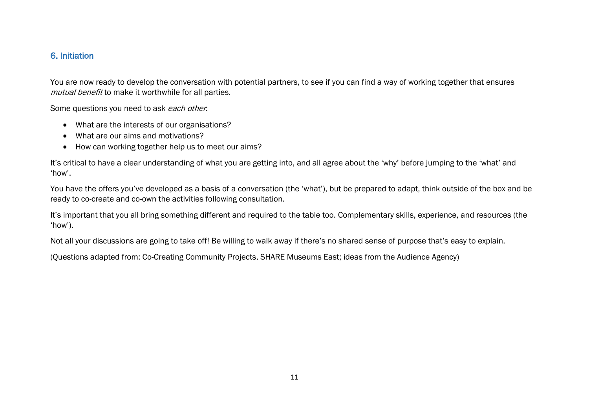#### <span id="page-11-0"></span>6. Initiation

You are now ready to develop the conversation with potential partners, to see if you can find a way of working together that ensures mutual benefit to make it worthwhile for all parties.

Some questions you need to ask each other.

- What are the interests of our organisations?
- What are our aims and motivations?
- How can working together help us to meet our aims?

It's critical to have a clear understanding of what you are getting into, and all agree about the 'why' before jumping to the 'what' and 'how'.

You have the offers you've developed as a basis of a conversation (the 'what'), but be prepared to adapt, think outside of the box and be ready to co-create and co-own the activities following consultation.

It's important that you all bring something different and required to the table too. Complementary skills, experience, and resources (the 'how').

Not all your discussions are going to take off! Be willing to walk away if there's no shared sense of purpose that's easy to explain.

(Questions adapted from: Co-Creating Community Projects, SHARE Museums East; ideas from the Audience Agency)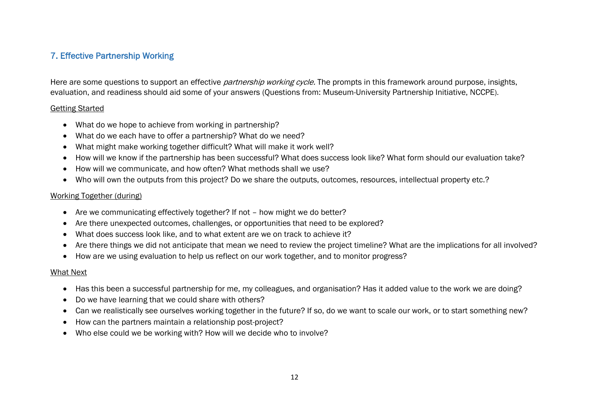#### <span id="page-12-0"></span>7. Effective Partnership Working

Here are some questions to support an effective *partnership working cycle*. The prompts in this framework around purpose, insights, evaluation, and readiness should aid some of your answers (Questions from: Museum-University Partnership Initiative, NCCPE).

#### Getting Started

- What do we hope to achieve from working in partnership?
- What do we each have to offer a partnership? What do we need?
- What might make working together difficult? What will make it work well?
- How will we know if the partnership has been successful? What does success look like? What form should our evaluation take?
- How will we communicate, and how often? What methods shall we use?
- Who will own the outputs from this project? Do we share the outputs, outcomes, resources, intellectual property etc.?

#### Working Together (during)

- Are we communicating effectively together? If not how might we do better?
- Are there unexpected outcomes, challenges, or opportunities that need to be explored?
- What does success look like, and to what extent are we on track to achieve it?
- Are there things we did not anticipate that mean we need to review the project timeline? What are the implications for all involved?
- How are we using evaluation to help us reflect on our work together, and to monitor progress?

#### What Next

- Has this been a successful partnership for me, my colleagues, and organisation? Has it added value to the work we are doing?
- Do we have learning that we could share with others?
- Can we realistically see ourselves working together in the future? If so, do we want to scale our work, or to start something new?
- How can the partners maintain a relationship post-project?
- Who else could we be working with? How will we decide who to involve?